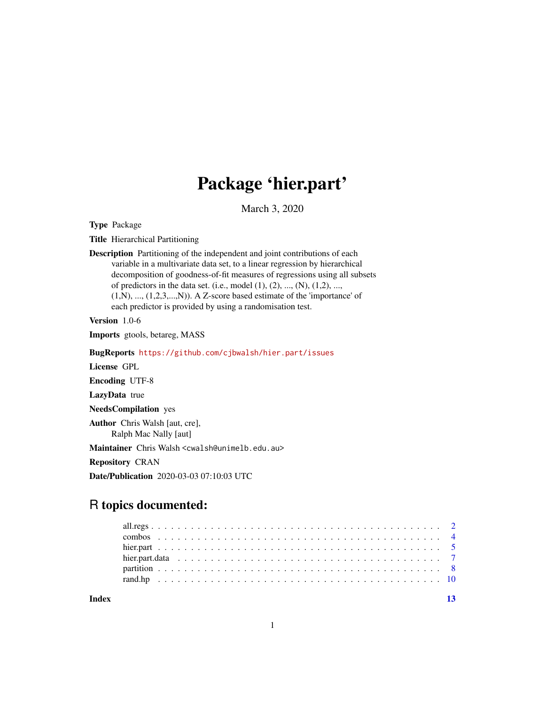## Package 'hier.part'

March 3, 2020

Type Package

Title Hierarchical Partitioning

Description Partitioning of the independent and joint contributions of each variable in a multivariate data set, to a linear regression by hierarchical decomposition of goodness-of-fit measures of regressions using all subsets of predictors in the data set. (i.e., model  $(1)$ ,  $(2)$ , ...,  $(N)$ ,  $(1,2)$ , ...,  $(1,N), ..., (1,2,3,...,N)$ ). A Z-score based estimate of the 'importance' of each predictor is provided by using a randomisation test.

Version 1.0-6

Imports gtools, betareg, MASS

BugReports <https://github.com/cjbwalsh/hier.part/issues>

License GPL

Encoding UTF-8

LazyData true

NeedsCompilation yes

Author Chris Walsh [aut, cre], Ralph Mac Nally [aut]

Maintainer Chris Walsh <cwalsh@unimelb.edu.au>

Repository CRAN

Date/Publication 2020-03-03 07:10:03 UTC

### R topics documented:

**Index** [13](#page-12-0)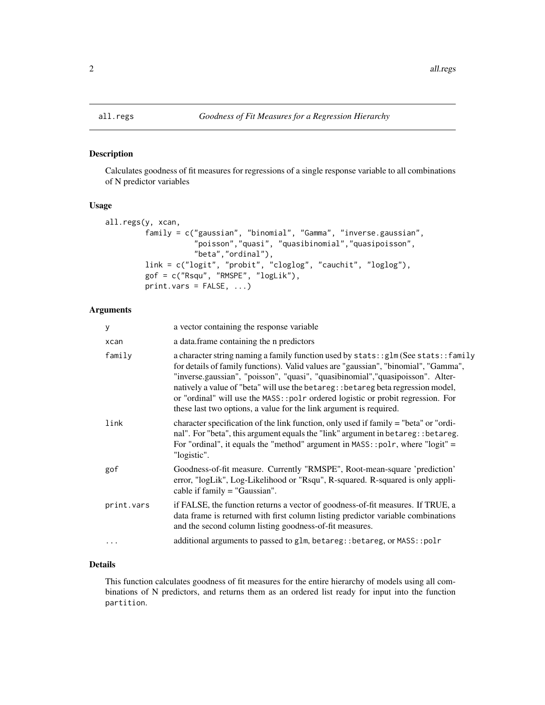#### Description

Calculates goodness of fit measures for regressions of a single response variable to all combinations of N predictor variables

#### Usage

```
all.regs(y, xcan,
         family = c("gaussian", "binomial", "Gamma", "inverse.gaussian",
                    "poisson","quasi", "quasibinomial","quasipoisson",
                    "beta","ordinal"),
         link = c("logit", "probit", "cloglog", "cauchit", "loglog"),
         gof = c("Rsqu", "RMSPE", "logLik"),
         print.vars = FALSE, ...)
```
#### Arguments

| y          | a vector containing the response variable                                                                                                                                                                                                                                                                                                                                                                                                                                                                    |
|------------|--------------------------------------------------------------------------------------------------------------------------------------------------------------------------------------------------------------------------------------------------------------------------------------------------------------------------------------------------------------------------------------------------------------------------------------------------------------------------------------------------------------|
| xcan       | a data.frame containing the n predictors                                                                                                                                                                                                                                                                                                                                                                                                                                                                     |
| family     | a character string naming a family function used by stats:: glm (See stats:: family<br>for details of family functions). Valid values are "gaussian", "binomial", "Gamma",<br>"inverse.gaussian", "poisson", "quasi", "quasibinomial", "quasipoisson". Alter-<br>natively a value of "beta" will use the betareg: : betareg beta regression model,<br>or "ordinal" will use the MASS:: polr ordered logistic or probit regression. For<br>these last two options, a value for the link argument is required. |
| link       | character specification of the link function, only used if family = "beta" or "ordi-<br>nal". For "beta", this argument equals the "link" argument in betareg:: betareg.<br>For "ordinal", it equals the "method" argument in $MASS$ : : polr, where "logit" =<br>"logistic".                                                                                                                                                                                                                                |
| gof        | Goodness-of-fit measure. Currently "RMSPE", Root-mean-square 'prediction'<br>error, "logLik", Log-Likelihood or "Rsqu", R-squared. R-squared is only appli-<br>cable if $family = "Gaussian".$                                                                                                                                                                                                                                                                                                               |
| print.vars | if FALSE, the function returns a vector of goodness-of-fit measures. If TRUE, a<br>data frame is returned with first column listing predictor variable combinations<br>and the second column listing goodness-of-fit measures.                                                                                                                                                                                                                                                                               |
| $\cdots$   | additional arguments to passed to glm, betareg:: betareg, or MASS:: polr                                                                                                                                                                                                                                                                                                                                                                                                                                     |
|            |                                                                                                                                                                                                                                                                                                                                                                                                                                                                                                              |

#### Details

This function calculates goodness of fit measures for the entire hierarchy of models using all combinations of N predictors, and returns them as an ordered list ready for input into the function partition.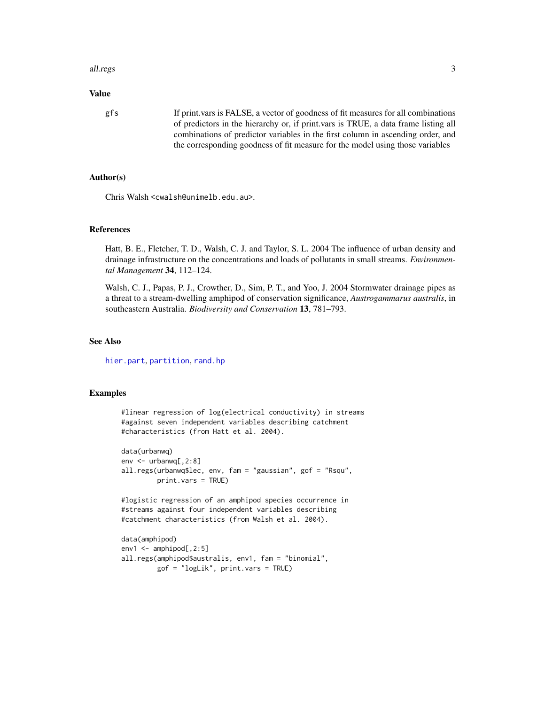#### <span id="page-2-0"></span>all.regs 3

#### Value

gfs If print.vars is FALSE, a vector of goodness of fit measures for all combinations of predictors in the hierarchy or, if print.vars is TRUE, a data frame listing all combinations of predictor variables in the first column in ascending order, and the corresponding goodness of fit measure for the model using those variables

#### Author(s)

Chris Walsh <cwalsh@unimelb.edu.au>.

#### References

Hatt, B. E., Fletcher, T. D., Walsh, C. J. and Taylor, S. L. 2004 The influence of urban density and drainage infrastructure on the concentrations and loads of pollutants in small streams. *Environmental Management* 34, 112–124.

Walsh, C. J., Papas, P. J., Crowther, D., Sim, P. T., and Yoo, J. 2004 Stormwater drainage pipes as a threat to a stream-dwelling amphipod of conservation significance, *Austrogammarus australis*, in southeastern Australia. *Biodiversity and Conservation* 13, 781–793.

#### See Also

[hier.part](#page-4-1), [partition](#page-7-1), [rand.hp](#page-9-1)

#### Examples

```
#linear regression of log(electrical conductivity) in streams
#against seven independent variables describing catchment
#characteristics (from Hatt et al. 2004).
```

```
data(urbanwq)
env <- urbanwq[,2:8]
all.regs(urbanwq$lec, env, fam = "gaussian", gof = "Rsqu",
         print.vars = TRUE)
```
#logistic regression of an amphipod species occurrence in #streams against four independent variables describing #catchment characteristics (from Walsh et al. 2004).

```
data(amphipod)
env1 <- amphipod[,2:5]
all.regs(amphipod$australis, env1, fam = "binomial",
         gof = "logLik", print.vars = TRUE)
```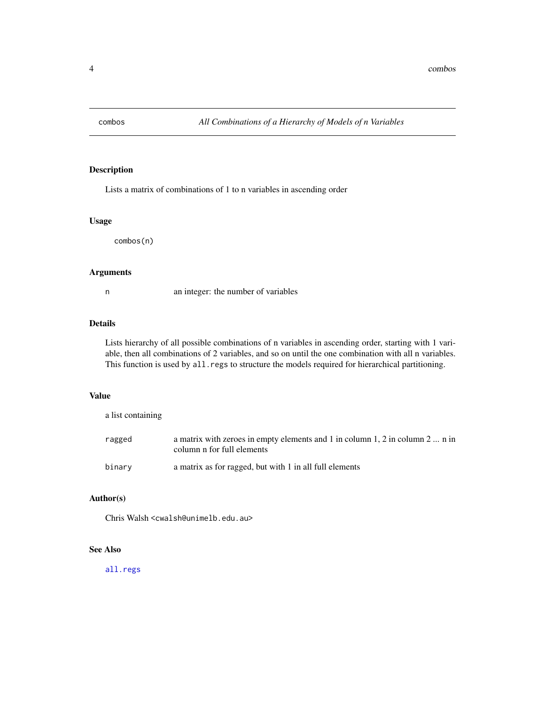<span id="page-3-0"></span>

#### Description

Lists a matrix of combinations of 1 to n variables in ascending order

#### Usage

combos(n)

#### Arguments

n an integer: the number of variables

#### Details

Lists hierarchy of all possible combinations of n variables in ascending order, starting with 1 variable, then all combinations of 2 variables, and so on until the one combination with all n variables. This function is used by all.regs to structure the models required for hierarchical partitioning.

#### Value

a list containing

| ragged | a matrix with zeroes in empty elements and 1 in column 1, 2 in column 2  n in<br>column n for full elements |
|--------|-------------------------------------------------------------------------------------------------------------|
| binarv | a matrix as for ragged, but with 1 in all full elements                                                     |

#### Author(s)

Chris Walsh <cwalsh@unimelb.edu.au>

#### See Also

[all.regs](#page-1-1)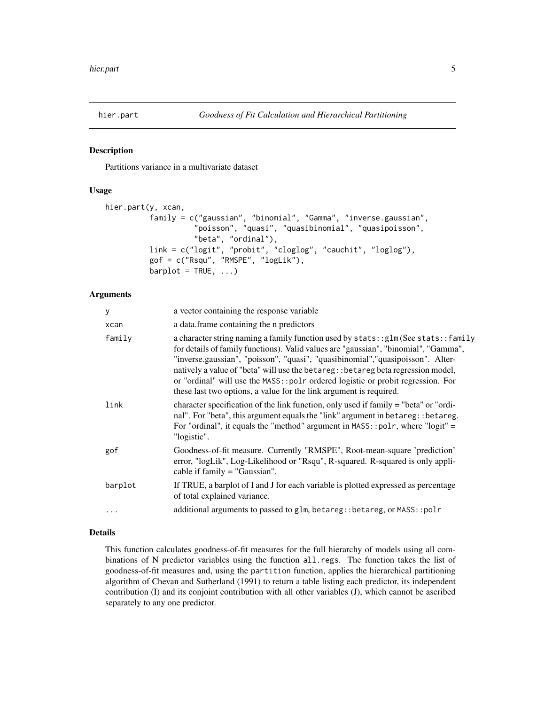<span id="page-4-1"></span><span id="page-4-0"></span>

#### Description

Partitions variance in a multivariate dataset

#### Usage

```
hier.part(y, xcan,
          family = c("gaussian", "binomial", "Gamma", "inverse.gaussian",
                    "poisson", "quasi", "quasibinomial", "quasipoisson",
                    "beta", "ordinal"),
          link = c("logit", "probit", "cloglog", "cauchit", "loglog"),
          gof = c("Rsqu", "RMSPE", "logLik"),
          barplot = TRUE, ...
```
#### Arguments

| У         | a vector containing the response variable                                                                                                                                                                                                                                                                                                                                                                                                                                                                    |
|-----------|--------------------------------------------------------------------------------------------------------------------------------------------------------------------------------------------------------------------------------------------------------------------------------------------------------------------------------------------------------------------------------------------------------------------------------------------------------------------------------------------------------------|
| xcan      | a data. frame containing the n predictors                                                                                                                                                                                                                                                                                                                                                                                                                                                                    |
| family    | a character string naming a family function used by stats:: glm (See stats:: family<br>for details of family functions). Valid values are "gaussian", "binomial", "Gamma",<br>"inverse.gaussian", "poisson", "quasi", "quasibinomial", "quasipoisson". Alter-<br>natively a value of "beta" will use the betareg: : betareg beta regression model,<br>or "ordinal" will use the MASS:: polr ordered logistic or probit regression. For<br>these last two options, a value for the link argument is required. |
| link      | character specification of the link function, only used if family = "beta" or "ordi-<br>nal". For "beta", this argument equals the "link" argument in betareg: : betareg.<br>For "ordinal", it equals the "method" argument in $MASS$ : : polr, where "logit" =<br>"logistic".                                                                                                                                                                                                                               |
| gof       | Goodness-of-fit measure. Currently "RMSPE", Root-mean-square 'prediction'<br>error, "logLik", Log-Likelihood or "Rsqu", R-squared. R-squared is only appli-<br>cable if $family = "Gaussian".$                                                                                                                                                                                                                                                                                                               |
| barplot   | If TRUE, a barplot of I and J for each variable is plotted expressed as percentage<br>of total explained variance.                                                                                                                                                                                                                                                                                                                                                                                           |
| $\ddotsc$ | additional arguments to passed to glm, betareg: : betareg, or MASS: : polr                                                                                                                                                                                                                                                                                                                                                                                                                                   |

#### Details

This function calculates goodness-of-fit measures for the full hierarchy of models using all combinations of N predictor variables using the function all.regs. The function takes the list of goodness-of-fit measures and, using the partition function, applies the hierarchical partitioning algorithm of Chevan and Sutherland (1991) to return a table listing each predictor, its independent contribution (I) and its conjoint contribution with all other variables (J), which cannot be ascribed separately to any one predictor.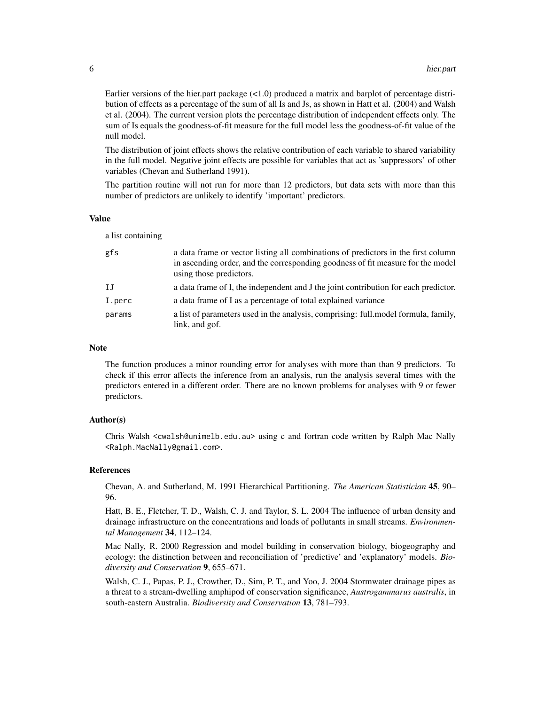Earlier versions of the hier.part package  $(<1.0$ ) produced a matrix and barplot of percentage distribution of effects as a percentage of the sum of all Is and Js, as shown in Hatt et al. (2004) and Walsh et al. (2004). The current version plots the percentage distribution of independent effects only. The sum of Is equals the goodness-of-fit measure for the full model less the goodness-of-fit value of the null model.

The distribution of joint effects shows the relative contribution of each variable to shared variability in the full model. Negative joint effects are possible for variables that act as 'suppressors' of other variables (Chevan and Sutherland 1991).

The partition routine will not run for more than 12 predictors, but data sets with more than this number of predictors are unlikely to identify 'important' predictors.

#### Value

a list containing

| gfs          | a data frame or vector listing all combinations of predictors in the first column<br>in ascending order, and the corresponding goodness of fit measure for the model<br>using those predictors. |
|--------------|-------------------------------------------------------------------------------------------------------------------------------------------------------------------------------------------------|
| $_{\rm{IJ}}$ | a data frame of I, the independent and J the joint contribution for each predictor.                                                                                                             |
| I.perc       | a data frame of I as a percentage of total explained variance                                                                                                                                   |
| params       | a list of parameters used in the analysis, comprising: full model formula, family,<br>link, and gof.                                                                                            |

#### **Note**

The function produces a minor rounding error for analyses with more than than 9 predictors. To check if this error affects the inference from an analysis, run the analysis several times with the predictors entered in a different order. There are no known problems for analyses with 9 or fewer predictors.

#### Author(s)

Chris Walsh <cwalsh@unimelb.edu.au> using c and fortran code written by Ralph Mac Nally <Ralph.MacNally@gmail.com>.

#### References

Chevan, A. and Sutherland, M. 1991 Hierarchical Partitioning. *The American Statistician* 45, 90– 96.

Hatt, B. E., Fletcher, T. D., Walsh, C. J. and Taylor, S. L. 2004 The influence of urban density and drainage infrastructure on the concentrations and loads of pollutants in small streams. *Environmental Management* 34, 112–124.

Mac Nally, R. 2000 Regression and model building in conservation biology, biogeography and ecology: the distinction between and reconciliation of 'predictive' and 'explanatory' models. *Biodiversity and Conservation* 9, 655–671.

Walsh, C. J., Papas, P. J., Crowther, D., Sim, P. T., and Yoo, J. 2004 Stormwater drainage pipes as a threat to a stream-dwelling amphipod of conservation significance, *Austrogammarus australis*, in south-eastern Australia. *Biodiversity and Conservation* 13, 781–793.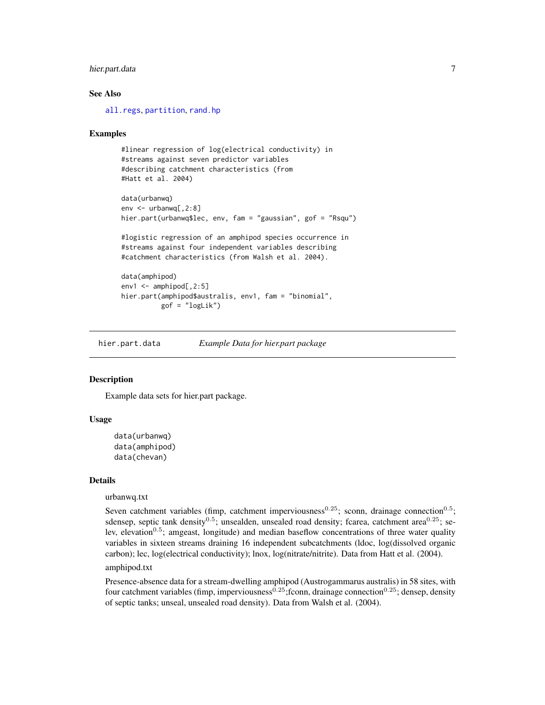#### <span id="page-6-0"></span>hier.part.data 7

#### See Also

[all.regs](#page-1-1), [partition](#page-7-1), [rand.hp](#page-9-1)

#### Examples

```
#linear regression of log(electrical conductivity) in
#streams against seven predictor variables
#describing catchment characteristics (from
#Hatt et al. 2004)
data(urbanwq)
env <- urbanwq[,2:8]
hier.part(urbanwq$lec, env, fam = "gaussian", gof = "Rsqu")
#logistic regression of an amphipod species occurrence in
#streams against four independent variables describing
#catchment characteristics (from Walsh et al. 2004).
data(amphipod)
env1 <- amphipod[,2:5]
hier.part(amphipod$australis, env1, fam = "binomial",
          gof = "logLik")
```

```
hier.part.data Example Data for hier.part package
```
#### Description

Example data sets for hier.part package.

#### Usage

```
data(urbanwq)
data(amphipod)
data(chevan)
```
#### Details

#### urbanwq.txt

Seven catchment variables (fimp, catchment imperviousness<sup>0.25</sup>; sconn, drainage connection<sup>0.5</sup>; sdensep, septic tank density<sup>0.5</sup>; unsealden, unsealed road density; fcarea, catchment area<sup>0.25</sup>; selev, elevation<sup>0.5</sup>; amgeast, longitude) and median baseflow concentrations of three water quality variables in sixteen streams draining 16 independent subcatchments (ldoc, log(dissolved organic carbon); lec, log(electrical conductivity); lnox, log(nitrate/nitrite). Data from Hatt et al. (2004). amphipod.txt

Presence-absence data for a stream-dwelling amphipod (Austrogammarus australis) in 58 sites, with four catchment variables (fimp, imperviousness<sup>0.25</sup>;fconn, drainage connection<sup>0.25</sup>; densep, density of septic tanks; unseal, unsealed road density). Data from Walsh et al. (2004).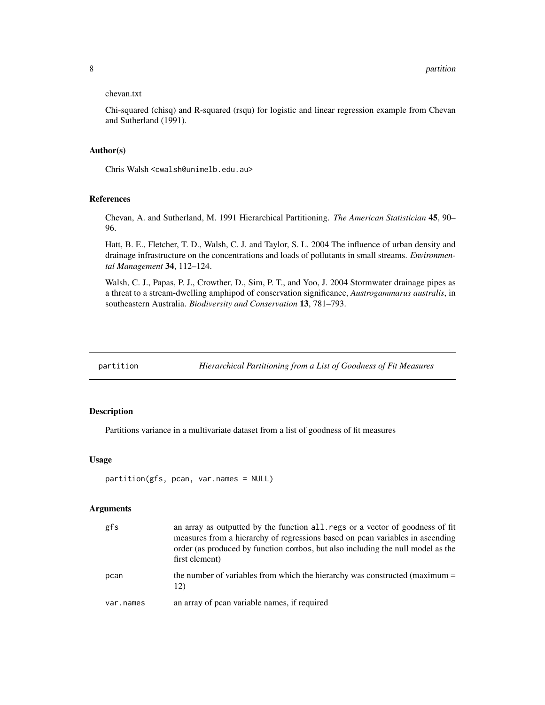#### <span id="page-7-0"></span>chevan.txt

Chi-squared (chisq) and R-squared (rsqu) for logistic and linear regression example from Chevan and Sutherland (1991).

#### Author(s)

Chris Walsh <cwalsh@unimelb.edu.au>

#### References

Chevan, A. and Sutherland, M. 1991 Hierarchical Partitioning. *The American Statistician* 45, 90– 96.

Hatt, B. E., Fletcher, T. D., Walsh, C. J. and Taylor, S. L. 2004 The influence of urban density and drainage infrastructure on the concentrations and loads of pollutants in small streams. *Environmental Management* 34, 112–124.

Walsh, C. J., Papas, P. J., Crowther, D., Sim, P. T., and Yoo, J. 2004 Stormwater drainage pipes as a threat to a stream-dwelling amphipod of conservation significance, *Austrogammarus australis*, in southeastern Australia. *Biodiversity and Conservation* 13, 781–793.

<span id="page-7-1"></span>partition *Hierarchical Partitioning from a List of Goodness of Fit Measures*

#### Description

Partitions variance in a multivariate dataset from a list of goodness of fit measures

#### Usage

```
partition(gfs, pcan, var.names = NULL)
```
#### Arguments

| gfs       | an array as outputted by the function all. regs or a vector of goodness of fit<br>measures from a hierarchy of regressions based on pcan variables in ascending<br>order (as produced by function combos, but also including the null model as the<br>first element) |
|-----------|----------------------------------------------------------------------------------------------------------------------------------------------------------------------------------------------------------------------------------------------------------------------|
| pcan      | the number of variables from which the hierarchy was constructed (maximum =<br>12)                                                                                                                                                                                   |
| var.names | an array of pean variable names, if required                                                                                                                                                                                                                         |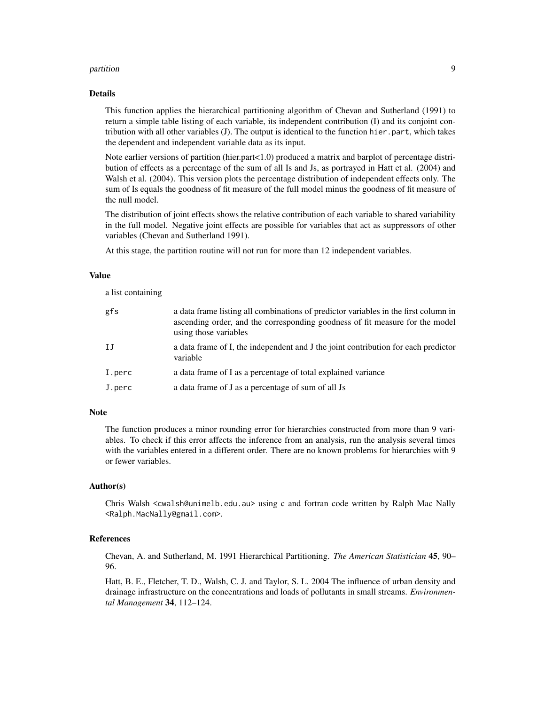#### partition to the contract of the contract of the contract of the contract of the contract of the contract of the contract of the contract of the contract of the contract of the contract of the contract of the contract of t

#### Details

This function applies the hierarchical partitioning algorithm of Chevan and Sutherland (1991) to return a simple table listing of each variable, its independent contribution (I) and its conjoint contribution with all other variables (J). The output is identical to the function hier.part, which takes the dependent and independent variable data as its input.

Note earlier versions of partition (hier.part<1.0) produced a matrix and barplot of percentage distribution of effects as a percentage of the sum of all Is and Js, as portrayed in Hatt et al. (2004) and Walsh et al. (2004). This version plots the percentage distribution of independent effects only. The sum of Is equals the goodness of fit measure of the full model minus the goodness of fit measure of the null model.

The distribution of joint effects shows the relative contribution of each variable to shared variability in the full model. Negative joint effects are possible for variables that act as suppressors of other variables (Chevan and Sutherland 1991).

At this stage, the partition routine will not run for more than 12 independent variables.

#### Value

a list containing

| gfs    | a data frame listing all combinations of predictor variables in the first column in<br>ascending order, and the corresponding goodness of fit measure for the model<br>using those variables |
|--------|----------------------------------------------------------------------------------------------------------------------------------------------------------------------------------------------|
| IJ     | a data frame of I, the independent and J the joint contribution for each predictor<br>variable                                                                                               |
| I.perc | a data frame of I as a percentage of total explained variance                                                                                                                                |
| J.perc | a data frame of J as a percentage of sum of all Js                                                                                                                                           |

#### Note

The function produces a minor rounding error for hierarchies constructed from more than 9 variables. To check if this error affects the inference from an analysis, run the analysis several times with the variables entered in a different order. There are no known problems for hierarchies with 9 or fewer variables.

#### Author(s)

Chris Walsh <cwalsh@unimelb.edu.au> using c and fortran code written by Ralph Mac Nally <Ralph.MacNally@gmail.com>.

#### References

Chevan, A. and Sutherland, M. 1991 Hierarchical Partitioning. *The American Statistician* 45, 90– 96.

Hatt, B. E., Fletcher, T. D., Walsh, C. J. and Taylor, S. L. 2004 The influence of urban density and drainage infrastructure on the concentrations and loads of pollutants in small streams. *Environmental Management* 34, 112–124.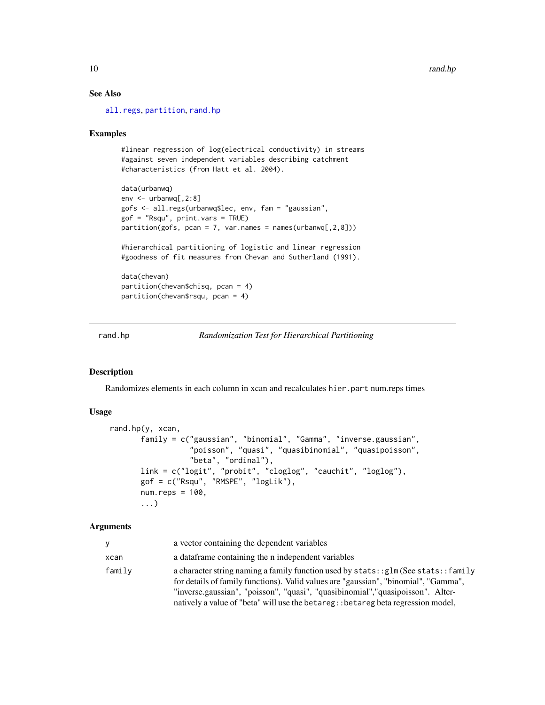#### See Also

[all.regs](#page-1-1), [partition](#page-7-1), [rand.hp](#page-9-1)

#### Examples

```
#linear regression of log(electrical conductivity) in streams
#against seven independent variables describing catchment
#characteristics (from Hatt et al. 2004).
```

```
data(urbanwq)
env <- urbanwq[,2:8]
gofs <- all.regs(urbanwq$lec, env, fam = "gaussian",
gof = "Rsqu", print.vars = TRUE)
partition(gofs, pcan = 7, var.names = names(urbanwq[, 2, 8]))
```
#hierarchical partitioning of logistic and linear regression #goodness of fit measures from Chevan and Sutherland (1991).

data(chevan) partition(chevan\$chisq, pcan = 4) partition(chevan\$rsqu, pcan = 4)

<span id="page-9-1"></span>

#### rand.hp *Randomization Test for Hierarchical Partitioning*

#### Description

Randomizes elements in each column in xcan and recalculates hier.part num.reps times

#### Usage

```
rand.hp(y, xcan,
       family = c("gaussian", "binomial", "Gamma", "inverse.gaussian",
                  "poisson", "quasi", "quasibinomial", "quasipoisson",
                  "beta", "ordinal"),
       link = c("logit", "probit", "cloglog", "cauchit", "loglog"),
       gof = c("Rsqu", "RMSPE", "logLik"),num.reps = 100,
       ...)
```
#### **Arguments**

| V      | a vector containing the dependent variables                                                                                                                                                                                                                                                                                                        |
|--------|----------------------------------------------------------------------------------------------------------------------------------------------------------------------------------------------------------------------------------------------------------------------------------------------------------------------------------------------------|
| xcan   | a data frame containing the n independent variables                                                                                                                                                                                                                                                                                                |
| family | a character string naming a family function used by stats:: glm (See stats:: family<br>for details of family functions). Valid values are "gaussian", "binomial", "Gamma",<br>"inverse.gaussian", "poisson", "quasi", "quasibinomial", "quasipoisson". Alter-<br>natively a value of "beta" will use the betareg: : betareg beta regression model, |

<span id="page-9-0"></span>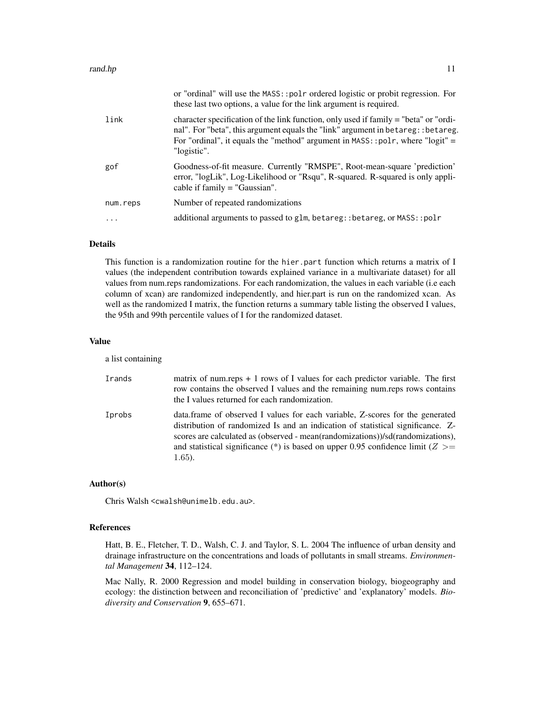|          | or "ordinal" will use the MASS::polr ordered logistic or probit regression. For<br>these last two options, a value for the link argument is required.                                                                                                                         |
|----------|-------------------------------------------------------------------------------------------------------------------------------------------------------------------------------------------------------------------------------------------------------------------------------|
| link     | character specification of the link function, only used if family = "beta" or "ordi-<br>nal". For "beta", this argument equals the "link" argument in betareg:: betareg.<br>For "ordinal", it equals the "method" argument in $MASS$ : : polr, where "logit" =<br>"logistic". |
| gof      | Goodness-of-fit measure. Currently "RMSPE", Root-mean-square 'prediction'<br>error, "logLik", Log-Likelihood or "Rsqu", R-squared. R-squared is only appli-<br>cable if $family = "Gaussian".$                                                                                |
| num.reps | Number of repeated randomizations                                                                                                                                                                                                                                             |
| .        | additional arguments to passed to glm, betareg: : betareg, or MASS: : polr                                                                                                                                                                                                    |
|          |                                                                                                                                                                                                                                                                               |

#### Details

This function is a randomization routine for the hier.part function which returns a matrix of I values (the independent contribution towards explained variance in a multivariate dataset) for all values from num.reps randomizations. For each randomization, the values in each variable (i.e each column of xcan) are randomized independently, and hier.part is run on the randomized xcan. As well as the randomized I matrix, the function returns a summary table listing the observed I values, the 95th and 99th percentile values of I for the randomized dataset.

#### Value

a list containing

| Irands | matrix of num.reps $+1$ rows of I values for each predictor variable. The first<br>row contains the observed I values and the remaining num.reps rows contains<br>the I values returned for each randomization.                                                                                                                                         |
|--------|---------------------------------------------------------------------------------------------------------------------------------------------------------------------------------------------------------------------------------------------------------------------------------------------------------------------------------------------------------|
| Iprobs | data.frame of observed I values for each variable, Z-scores for the generated<br>distribution of randomized Is and an indication of statistical significance. Z-<br>scores are calculated as (observed - mean(randomizations))/sd(randomizations),<br>and statistical significance (*) is based on upper 0.95 confidence limit ( $Z \ge$ =<br>$1.65$ ). |

#### Author(s)

Chris Walsh <cwalsh@unimelb.edu.au>.

#### References

Hatt, B. E., Fletcher, T. D., Walsh, C. J. and Taylor, S. L. 2004 The influence of urban density and drainage infrastructure on the concentrations and loads of pollutants in small streams. *Environmental Management* 34, 112–124.

Mac Nally, R. 2000 Regression and model building in conservation biology, biogeography and ecology: the distinction between and reconciliation of 'predictive' and 'explanatory' models. *Biodiversity and Conservation* 9, 655–671.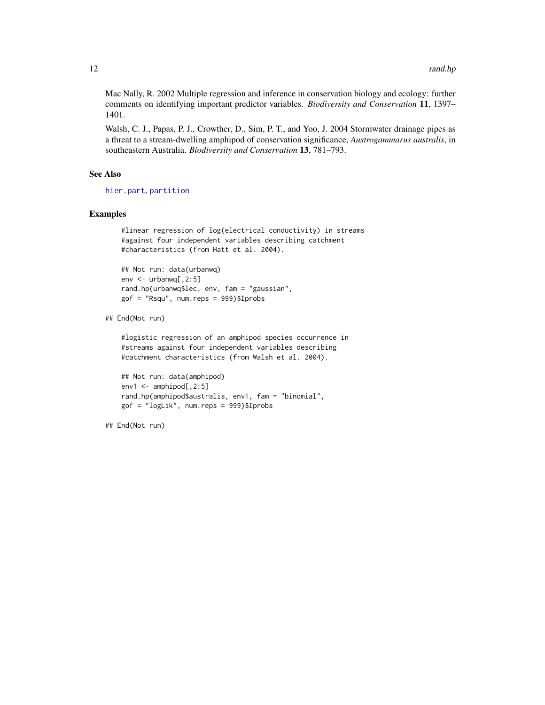<span id="page-11-0"></span>Mac Nally, R. 2002 Multiple regression and inference in conservation biology and ecology: further comments on identifying important predictor variables. *Biodiversity and Conservation* 11, 1397– 1401.

Walsh, C. J., Papas, P. J., Crowther, D., Sim, P. T., and Yoo, J. 2004 Stormwater drainage pipes as a threat to a stream-dwelling amphipod of conservation significance, *Austrogammarus australis*, in southeastern Australia. *Biodiversity and Conservation* 13, 781–793.

#### See Also

[hier.part](#page-4-1), [partition](#page-7-1)

#### Examples

```
#linear regression of log(electrical conductivity) in streams
#against four independent variables describing catchment
#characteristics (from Hatt et al. 2004).
```

```
## Not run: data(urbanwq)
env <- urbanwq[,2:5]
rand.hp(urbanwq$lec, env, fam = "gaussian",
gof = "Rsqu", num.reps = 999)$Iprobs
```

```
## End(Not run)
```
#logistic regression of an amphipod species occurrence in #streams against four independent variables describing #catchment characteristics (from Walsh et al. 2004).

```
## Not run: data(amphipod)
env1 \leq amphipod[, 2:5]
rand.hp(amphipod$australis, env1, fam = "binomial",
gof = "logLik", num.reps = 999)$Iprobs
```
## End(Not run)